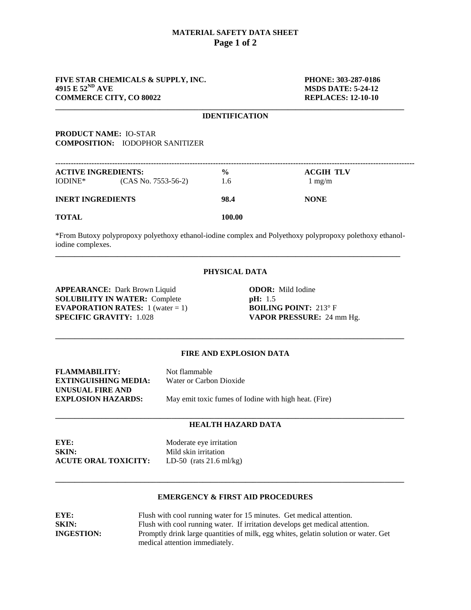## **MATERIAL SAFETY DATA SHEET Page 1 of 2**

# **FIVE STAR CHEMICALS & SUPPLY, INC.** PHONE: 303-287-0186<br>4915 E 52<sup>ND</sup> AVE MSDS DATE: 5-24-12 **COMMERCE CITY, CO 80022 REPLACES: 12-10-10**

**MSDS DATE: 5-24-12** 

### **\_\_\_\_\_\_\_\_\_\_\_\_\_\_\_\_\_\_\_\_\_\_\_\_\_\_\_\_\_\_\_\_\_\_\_\_\_\_\_\_\_\_\_\_\_\_\_\_\_\_\_\_\_\_\_\_\_\_\_\_\_\_\_\_\_\_\_\_\_\_\_\_\_\_\_\_\_\_\_\_\_\_\_\_\_\_\_\_\_\_ IDENTIFICATION**

# **PRODUCT NAME:** IO-STAR **COMPOSITION:** IODOPHOR SANITIZER

| <b>ACTIVE INGREDIENTS:</b> |                       | $\frac{0}{0}$ | <b>ACGIH TLV</b> |  |
|----------------------------|-----------------------|---------------|------------------|--|
| IODINE <sup>*</sup>        | $(CAS No. 7553-56-2)$ | 1.6           | $1 \text{ mg/m}$ |  |
| <b>INERT INGREDIENTS</b>   |                       | 98.4          | <b>NONE</b>      |  |
| <b>TOTAL</b>               |                       | 100.00        |                  |  |

\*From Butoxy polypropoxy polyethoxy ethanol-iodine complex and Polyethoxy polypropoxy polethoxy ethanoliodine complexes. **\_\_\_\_\_\_\_\_\_\_\_\_\_\_\_\_\_\_\_\_\_\_\_\_\_\_\_\_\_\_\_\_\_\_\_\_\_\_\_\_\_\_\_\_\_\_\_\_\_\_\_\_\_\_\_\_\_\_\_\_\_\_\_\_\_\_\_\_\_\_\_\_\_\_\_\_\_\_\_\_\_\_\_\_\_\_\_\_\_**

# **PHYSICAL DATA**

**APPEARANCE:** Dark Brown Liquid **ODOR:** Mild Iodine **SOLUBILITY IN WATER:** Complete **pH:** 1.5 **EVAPORATION RATES:**  $1$  (water = 1) **BOILING POINT:**  $213^\circ$  F **SPECIFIC GRAVITY:** 1.028 **VAPOR PRESSURE:** 24 mm Hg.

# **FIRE AND EXPLOSION DATA**

**\_\_\_\_\_\_\_\_\_\_\_\_\_\_\_\_\_\_\_\_\_\_\_\_\_\_\_\_\_\_\_\_\_\_\_\_\_\_\_\_\_\_\_\_\_\_\_\_\_\_\_\_\_\_\_\_\_\_\_\_\_\_\_\_\_\_\_\_\_\_\_\_\_\_\_\_\_\_\_\_\_\_\_\_\_\_\_\_\_\_**

| <b>FLAMMABILITY:</b>        | Not flammable                                         |
|-----------------------------|-------------------------------------------------------|
| <b>EXTINGUISHING MEDIA:</b> | Water or Carbon Dioxide                               |
| UNUSUAL FIRE AND            |                                                       |
| <b>EXPLOSION HAZARDS:</b>   | May emit toxic fumes of Iodine with high heat. (Fire) |

#### **\_\_\_\_\_\_\_\_\_\_\_\_\_\_\_\_\_\_\_\_\_\_\_\_\_\_\_\_\_\_\_\_\_\_\_\_\_\_\_\_\_\_\_\_\_\_\_\_\_\_\_\_\_\_\_\_\_\_\_\_\_\_\_\_\_\_\_\_\_\_\_\_\_\_\_\_\_\_\_\_\_\_\_\_\_\_\_\_\_\_ HEALTH HAZARD DATA**

**EYE:** Moderate eye irritation **SKIN:** Mild skin irritation **ACUTE ORAL TOXICITY:** LD-50 (rats 21.6 ml/kg)

## **EMERGENCY & FIRST AID PROCEDURES**

**\_\_\_\_\_\_\_\_\_\_\_\_\_\_\_\_\_\_\_\_\_\_\_\_\_\_\_\_\_\_\_\_\_\_\_\_\_\_\_\_\_\_\_\_\_\_\_\_\_\_\_\_\_\_\_\_\_\_\_\_\_\_\_\_\_\_\_\_\_\_\_\_\_\_\_\_\_\_\_\_\_\_\_\_\_\_\_\_\_\_**

| EYE:              | Flush with cool running water for 15 minutes. Get medical attention.                |  |
|-------------------|-------------------------------------------------------------------------------------|--|
| <b>SKIN:</b>      | Flush with cool running water. If irritation develops get medical attention.        |  |
| <b>INGESTION:</b> | Promptly drink large quantities of milk, egg whites, gelatin solution or water. Get |  |
|                   | medical attention immediately.                                                      |  |